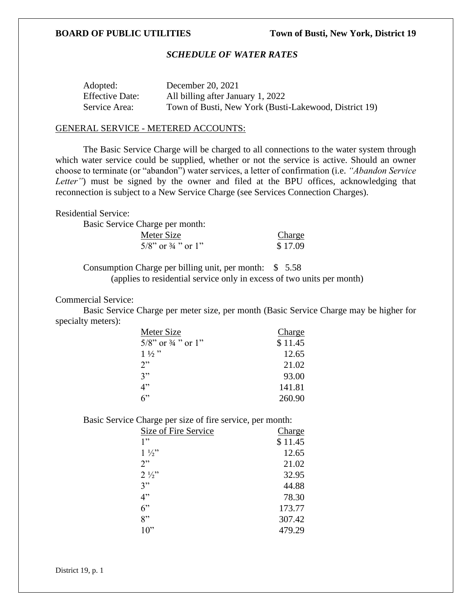## *SCHEDULE OF WATER RATES*

| Adopted:               | December 20, 2021                                     |
|------------------------|-------------------------------------------------------|
| <b>Effective Date:</b> | All billing after January 1, 2022                     |
| Service Area:          | Town of Busti, New York (Busti-Lakewood, District 19) |

### GENERAL SERVICE - METERED ACCOUNTS:

The Basic Service Charge will be charged to all connections to the water system through which water service could be supplied, whether or not the service is active. Should an owner choose to terminate (or "abandon") water services, a letter of confirmation (i.e. *"Abandon Service Letter*") must be signed by the owner and filed at the BPU offices, acknowledging that reconnection is subject to a New Service Charge (see Services Connection Charges).

Residential Service:

Basic Service Charge per month:

| Meter Size                       | Charge  |
|----------------------------------|---------|
| $5/8$ " or $\frac{3}{4}$ " or 1" | \$17.09 |

Consumption Charge per billing unit, per month: \$ 5.58 (applies to residential service only in excess of two units per month)

Commercial Service:

Basic Service Charge per meter size, per month (Basic Service Charge may be higher for specialty meters):

| Meter Size                       | Charge  |
|----------------------------------|---------|
| $5/8$ " or $\frac{3}{4}$ " or 1" | \$11.45 |
| $1\frac{1}{2}$ "                 | 12.65   |
| 2                                | 21.02   |
| 3"                               | 93.00   |
| 4"                               | 141.81  |
| ና"                               | 260.90  |

Basic Service Charge per size of fire service, per month:

| Size of Fire Service | Charge  |
|----------------------|---------|
| 1"                   | \$11.45 |
| $1\frac{1}{2}$       | 12.65   |
| 2"                   | 21.02   |
| $2\frac{1}{2}$       | 32.95   |
| 3"                   | 44.88   |
| 4"                   | 78.30   |
| 6"                   | 173.77  |
| 8"                   | 307.42  |
| 10"                  | 479.29  |

District 19, p. 1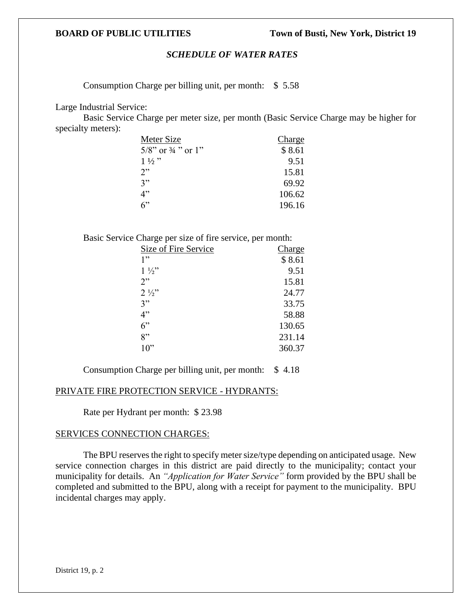## *SCHEDULE OF WATER RATES*

Consumption Charge per billing unit, per month: \$ 5.58

Large Industrial Service:

Basic Service Charge per meter size, per month (Basic Service Charge may be higher for specialty meters):

| Meter Size                       | Charge |
|----------------------------------|--------|
| $5/8$ " or $\frac{3}{4}$ " or 1" | \$8.61 |
| $1\frac{1}{2}$                   | 9.51   |
| 2"                               | 15.81  |
| 3"                               | 69.92  |
| 4"                               | 106.62 |
| 6                                | 196.16 |

Basic Service Charge per size of fire service, per month:

| Size of Fire Service | Charge |
|----------------------|--------|
| 1"                   | \$8.61 |
| $1\frac{1}{2}$       | 9.51   |
| 2"                   | 15.81  |
| $2\frac{1}{2}$       | 24.77  |
| 3"                   | 33.75  |
| 4"                   | 58.88  |
| 6"                   | 130.65 |
| 8"                   | 231.14 |
| $10$ "               | 360.37 |
|                      |        |

Consumption Charge per billing unit, per month: \$ 4.18

## PRIVATE FIRE PROTECTION SERVICE - HYDRANTS:

Rate per Hydrant per month: \$ 23.98

## SERVICES CONNECTION CHARGES:

The BPU reserves the right to specify meter size/type depending on anticipated usage. New service connection charges in this district are paid directly to the municipality; contact your municipality for details. An *"Application for Water Service"* form provided by the BPU shall be completed and submitted to the BPU, along with a receipt for payment to the municipality. BPU incidental charges may apply.